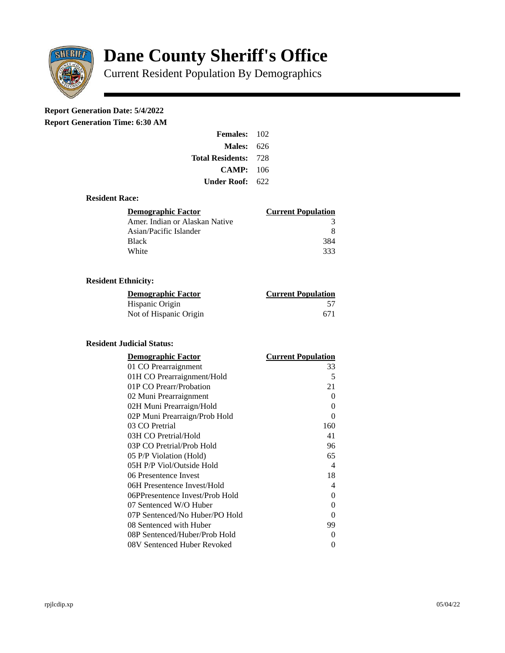

# **Dane County Sheriff's Office**

Current Resident Population By Demographics

## **Report Generation Date: 5/4/2022**

**Report Generation Time: 6:30 AM** 

| Females: 102                |     |
|-----------------------------|-----|
| <b>Males: 626</b>           |     |
| <b>Total Residents: 728</b> |     |
| CAMP: 106                   |     |
| Under Roof:                 | 622 |

#### **Resident Race:**

| <b>Demographic Factor</b>      | <b>Current Population</b> |
|--------------------------------|---------------------------|
| Amer. Indian or Alaskan Native | 3                         |
| Asian/Pacific Islander         | 8                         |
| <b>Black</b>                   | 384                       |
| White                          | 333                       |

### **Resident Ethnicity:**

| <u>Demographic Factor</u> | <b>Current Population</b> |
|---------------------------|---------------------------|
| Hispanic Origin           | 57                        |
| Not of Hispanic Origin    | 671                       |

#### **Resident Judicial Status:**

| <b>Demographic Factor</b>       | <b>Current Population</b>  |
|---------------------------------|----------------------------|
| 01 CO Prearraignment            | 33                         |
| 01H CO Prearraignment/Hold      | 5                          |
| 01P CO Prearr/Probation         | 21                         |
| 02 Muni Prearraignment          | 0                          |
| 02H Muni Prearraign/Hold        | 0                          |
| 02P Muni Prearraign/Prob Hold   | 0                          |
| 03 CO Pretrial                  | 160                        |
| 03H CO Pretrial/Hold            | 41                         |
| 03P CO Pretrial/Prob Hold       | 96                         |
| 05 P/P Violation (Hold)         | 65                         |
| 05H P/P Viol/Outside Hold       | $\boldsymbol{\mathcal{A}}$ |
| 06 Presentence Invest           | 18                         |
| 06H Presentence Invest/Hold     | 4                          |
| 06PPresentence Invest/Prob Hold | 0                          |
| 07 Sentenced W/O Huber          | 0                          |
| 07P Sentenced/No Huber/PO Hold  | 0                          |
| 08 Sentenced with Huber         | 99                         |
| 08P Sentenced/Huber/Prob Hold   | 0                          |
| 08V Sentenced Huber Revoked     | 0                          |